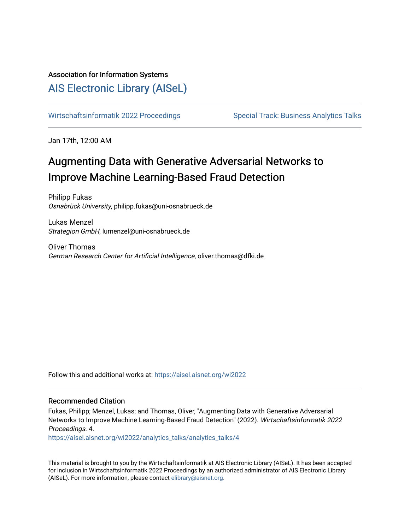### Association for Information Systems

## [AIS Electronic Library \(AISeL\)](https://aisel.aisnet.org/)

[Wirtschaftsinformatik 2022 Proceedings](https://aisel.aisnet.org/wi2022) Special Track: Business Analytics Talks

Jan 17th, 12:00 AM

# Augmenting Data with Generative Adversarial Networks to Improve Machine Learning-Based Fraud Detection

Philipp Fukas Osnabrück University, philipp.fukas@uni-osnabrueck.de

Lukas Menzel Strategion GmbH, lumenzel@uni-osnabrueck.de

Oliver Thomas German Research Center for Artificial Intelligence, oliver.thomas@dfki.de

Follow this and additional works at: [https://aisel.aisnet.org/wi2022](https://aisel.aisnet.org/wi2022?utm_source=aisel.aisnet.org%2Fwi2022%2Fanalytics_talks%2Fanalytics_talks%2F4&utm_medium=PDF&utm_campaign=PDFCoverPages) 

#### Recommended Citation

Fukas, Philipp; Menzel, Lukas; and Thomas, Oliver, "Augmenting Data with Generative Adversarial Networks to Improve Machine Learning-Based Fraud Detection" (2022). Wirtschaftsinformatik 2022 Proceedings. 4.

[https://aisel.aisnet.org/wi2022/analytics\\_talks/analytics\\_talks/4](https://aisel.aisnet.org/wi2022/analytics_talks/analytics_talks/4?utm_source=aisel.aisnet.org%2Fwi2022%2Fanalytics_talks%2Fanalytics_talks%2F4&utm_medium=PDF&utm_campaign=PDFCoverPages) 

This material is brought to you by the Wirtschaftsinformatik at AIS Electronic Library (AISeL). It has been accepted for inclusion in Wirtschaftsinformatik 2022 Proceedings by an authorized administrator of AIS Electronic Library (AISeL). For more information, please contact [elibrary@aisnet.org](mailto:elibrary@aisnet.org%3E).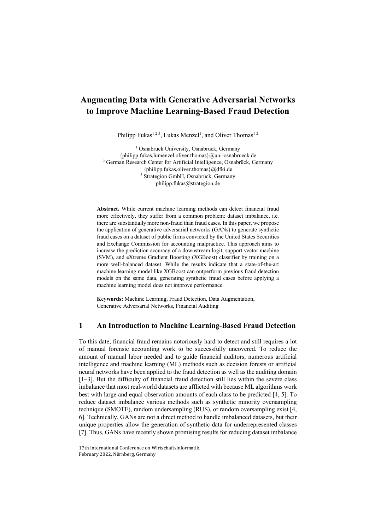## **Augmenting Data with Generative Adversarial Networks to Improve Machine Learning-Based Fraud Detection**

Philipp Fukas<sup>123</sup>, Lukas Menzel<sup>1</sup>, and Oliver Thomas<sup>12</sup>

<sup>1</sup> Osnabrück University, Osnabrück, Germany {philipp.fukas,lumenzel,oliver.thomas}@uni-osnabrueck.de <sup>2</sup> German Research Center for Artificial Intelligence, Osnabrück, Germany {philipp.fukas,oliver.thomas}@dfki.de <sup>3</sup> Strategion GmbH, Osnabrück, Germany philipp.fukas@strategion.de

**Abstract.** While current machine learning methods can detect financial fraud more effectively, they suffer from a common problem: dataset imbalance, i.e. there are substantially more non-fraud than fraud cases. In this paper, we propose the application of generative adversarial networks (GANs) to generate synthetic fraud cases on a dataset of public firms convicted by the United States Securities and Exchange Commission for accounting malpractice. This approach aims to increase the prediction accuracy of a downstream logit, support vector machine (SVM), and eXtreme Gradient Boosting (XGBoost) classifier by training on a more well-balanced dataset. While the results indicate that a state-of-the-art machine learning model like XGBoost can outperform previous fraud detection models on the same data, generating synthetic fraud cases before applying a machine learning model does not improve performance.

**Keywords:** Machine Learning, Fraud Detection, Data Augmentation, Generative Adversarial Networks, Financial Auditing

#### **1 An Introduction to Machine Learning-Based Fraud Detection**

To this date, financial fraud remains notoriously hard to detect and still requires a lot of manual forensic accounting work to be successfully uncovered. To reduce the amount of manual labor needed and to guide financial auditors, numerous artificial intelligence and machine learning (ML) methods such as decision forests or artificial neural networks have been applied to the fraud detection as well as the auditing domain [1–3]. But the difficulty of financial fraud detection still lies within the severe class imbalance that most real-world datasets are afflicted with because ML algorithms work best with large and equal observation amounts of each class to be predicted [4, 5]. To reduce dataset imbalance various methods such as synthetic minority oversampling technique (SMOTE), random undersampling (RUS), or random oversampling exist [4, 6]. Technically, GANs are not a direct method to handle imbalanced datasets, but their unique properties allow the generation of synthetic data for underrepresented classes [7]. Thus, GANs have recently shown promising results for reducing dataset imbalance

<sup>17</sup>th International Conference on Wirtschaftsinformatik, February 2022, Nürnberg, Germany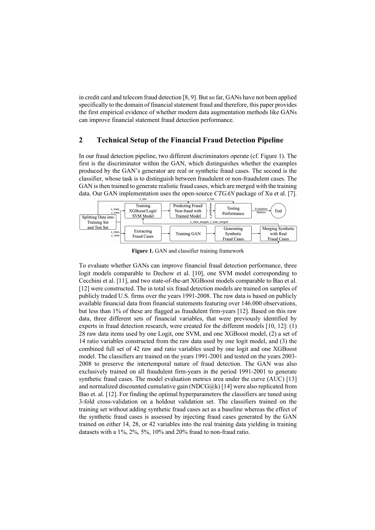in credit card and telecom fraud detection [8, 9]. But so far, GANs have not been applied specifically to the domain of financial statement fraud and therefore, this paper provides the first empirical evidence of whether modern data augmentation methods like GANs can improve financial statement fraud detection performance.

#### **2 Technical Setup of the Financial Fraud Detection Pipeline**

In our fraud detection pipeline, two different discriminators operate (cf. Figure 1). The first is the discriminator within the GAN, which distinguishes whether the examples produced by the GAN's generator are real or synthetic fraud cases. The second is the classifier, whose task is to distinguish between fraudulent or non-fraudulent cases. The GAN is then trained to generate realistic fraud cases, which are merged with the training data. Our GAN implementation uses the open-source *CTGAN* package of Xu et al. [7].



**Figure 1.** GAN and classifier training framework

To evaluate whether GANs can improve financial fraud detection performance, three logit models comparable to Dechow et al. [10], one SVM model corresponding to Cecchini et al. [11], and two state-of-the-art XGBoost models comparable to Bao et al. [12] were constructed. The in total six fraud detection models are trained on samples of publicly traded U.S. firms over the years 1991-2008. The raw data is based on publicly available financial data from financial statements featuring over 146.000 observations, but less than 1% of these are flagged as fraudulent firm-years [12]. Based on this raw data, three different sets of financial variables, that were previously identified by experts in fraud detection research, were created for the different models [10, 12]: (1) 28 raw data items used by one Logit, one SVM, and one XGBoost model, (2) a set of 14 ratio variables constructed from the raw data used by one logit model, and (3) the combined full set of 42 raw and ratio variables used by one logit and one XGBoost model. The classifiers are trained on the years 1991-2001 and tested on the years 2003- 2008 to preserve the intertemporal nature of fraud detection. The GAN was also exclusively trained on all fraudulent firm-years in the period 1991-2001 to generate synthetic fraud cases. The model evaluation metrics area under the curve (AUC) [13] and normalized discounted cumulative gain (NDCG $Q$ k) [14] were also replicated from Bao et. al. [12]. For finding the optimal hyperparameters the classifiers are tuned using 3-fold cross-validation on a holdout validation set. The classifiers trained on the training set without adding synthetic fraud cases act as a baseline whereas the effect of the synthetic fraud cases is assessed by injecting fraud cases generated by the GAN trained on either 14, 28, or 42 variables into the real training data yielding in training datasets with a 1%, 2%, 5%, 10% and 20% fraud to non-fraud ratio.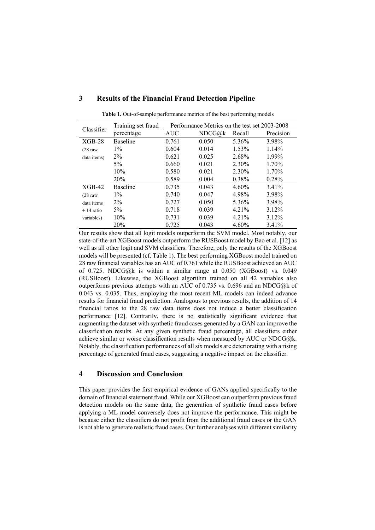| Classifier         | Training set fraud | Performance Metrics on the test set 2003-2008 |                       |          |           |
|--------------------|--------------------|-----------------------------------------------|-----------------------|----------|-----------|
|                    | percentage         | <b>AUC</b>                                    | $NDCG(\hat{\omega})k$ | Recall   | Precision |
| $XGB-28$           | Baseline           | 0.761                                         | 0.050                 | 5.36%    | 3.98%     |
| $(28 \text{ raw})$ | $1\%$              | 0.604                                         | 0.014                 | 1.53%    | $1.14\%$  |
| data items)        | $2\%$              | 0.621                                         | 0.025                 | 2.68%    | 1.99%     |
|                    | $5\%$              | 0.660                                         | 0.021                 | 2.30%    | $1.70\%$  |
|                    | 10%                | 0.580                                         | 0.021                 | 2.30%    | 1.70%     |
|                    | 20%                | 0.589                                         | 0.004                 | 0.38%    | 0.28%     |
| $XGB-42$           | Baseline           | 0.735                                         | 0.043                 | $4.60\%$ | 3.41%     |
| $(28 \text{ raw})$ | $1\%$              | 0.740                                         | 0.047                 | 4.98%    | 3.98%     |
| data items         | $2\%$              | 0.727                                         | 0.050                 | 5.36%    | 3.98%     |
| $+14$ ratio        | $5\%$              | 0.718                                         | 0.039                 | 4.21%    | 3.12%     |
| variables)         | 10%                | 0.731                                         | 0.039                 | 4.21%    | 3.12%     |
|                    | 20%                | 0.725                                         | 0.043                 | 4.60%    | 3.41%     |

#### **3 Results of the Financial Fraud Detection Pipeline**

**Table 1.** Out-of-sample performance metrics of the best performing models

Our results show that all logit models outperform the SVM model. Most notably, our state-of-the-art XGBoost models outperform the RUSBoost model by Bao et al. [12] as well as all other logit and SVM classifiers. Therefore, only the results of the XGBoost models will be presented (cf. Table 1). The best performing XGBoost model trained on 28 raw financial variables has an AUC of 0.761 while the RUSBoost achieved an AUC of 0.725. NDCG@k is within a similar range at 0.050 (XGBoost) vs. 0.049 (RUSBoost). Likewise, the XGBoost algorithm trained on all 42 variables also outperforms previous attempts with an AUC of 0.735 vs. 0.696 and an NDCG@k of 0.043 vs. 0.035. Thus, employing the most recent ML models can indeed advance results for financial fraud prediction. Analogous to previous results, the addition of 14 financial ratios to the 28 raw data items does not induce a better classification performance [12]. Contrarily, there is no statistically significant evidence that augmenting the dataset with synthetic fraud cases generated by a GAN can improve the classification results. At any given synthetic fraud percentage, all classifiers either achieve similar or worse classification results when measured by AUC or NDCG@k. Notably, the classification performances of all six models are deteriorating with a rising percentage of generated fraud cases, suggesting a negative impact on the classifier.

#### **4 Discussion and Conclusion**

This paper provides the first empirical evidence of GANs applied specifically to the domain of financial statement fraud. While our XGBoost can outperform previous fraud detection models on the same data, the generation of synthetic fraud cases before applying a ML model conversely does not improve the performance. This might be because either the classifiers do not profit from the additional fraud cases or the GAN is not able to generate realistic fraud cases. Our further analyses with different similarity